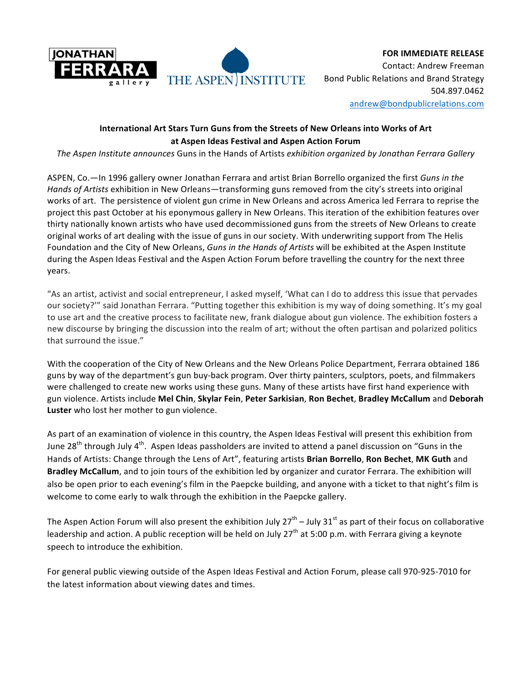

# **International Art Stars Turn Guns from the Streets of New Orleans into Works of Art at Aspen Ideas Festival and Aspen Action Forum**

*The Aspen Institute announces* Guns in the Hands of Artists *exhibition organized by Jonathan Ferrara Gallery*

ASPEN, Co.—In 1996 gallery owner Jonathan Ferrara and artist Brian Borrello organized the first *Guns in the Hands of Artists* exhibition in New Orleans—transforming guns removed from the city's streets into original works of art. The persistence of violent gun crime in New Orleans and across America led Ferrara to reprise the project this past October at his eponymous gallery in New Orleans. This iteration of the exhibition features over thirty nationally known artists who have used decommissioned guns from the streets of New Orleans to create original works of art dealing with the issue of guns in our society. With underwriting support from The Helis Foundation and the City of New Orleans, *Guns in the Hands of Artists* will be exhibited at the Aspen Institute during the Aspen Ideas Festival and the Aspen Action Forum before travelling the country for the next three years.

"As an artist, activist and social entrepreneur, I asked myself, 'What can I do to address this issue that pervades our society?'" said Jonathan Ferrara. "Putting together this exhibition is my way of doing something. It's my goal to use art and the creative process to facilitate new, frank dialogue about gun violence. The exhibition fosters a new discourse by bringing the discussion into the realm of art; without the often partisan and polarized politics that surround the issue."

With the cooperation of the City of New Orleans and the New Orleans Police Department, Ferrara obtained 186 guns by way of the department's gun buy-back program. Over thirty painters, sculptors, poets, and filmmakers were challenged to create new works using these guns. Many of these artists have first hand experience with gun violence. Artists include Mel Chin, Skylar Fein, Peter Sarkisian, Ron Bechet, Bradley McCallum and Deborah Luster who lost her mother to gun violence.

As part of an examination of violence in this country, the Aspen Ideas Festival will present this exhibition from June  $28^{th}$  through July  $4^{th}$ . Aspen Ideas passholders are invited to attend a panel discussion on "Guns in the Hands of Artists: Change through the Lens of Art", featuring artists **Brian Borrello**, **Ron Bechet**, MK Guth and Bradley McCallum, and to join tours of the exhibition led by organizer and curator Ferrara. The exhibition will also be open prior to each evening's film in the Paepcke building, and anyone with a ticket to that night's film is welcome to come early to walk through the exhibition in the Paepcke gallery.

The Aspen Action Forum will also present the exhibition July  $27^{th}$  – July  $31^{st}$  as part of their focus on collaborative leadership and action. A public reception will be held on July  $27<sup>th</sup>$  at 5:00 p.m. with Ferrara giving a keynote speech to introduce the exhibition.

For general public viewing outside of the Aspen Ideas Festival and Action Forum, please call 970-925-7010 for the latest information about viewing dates and times.